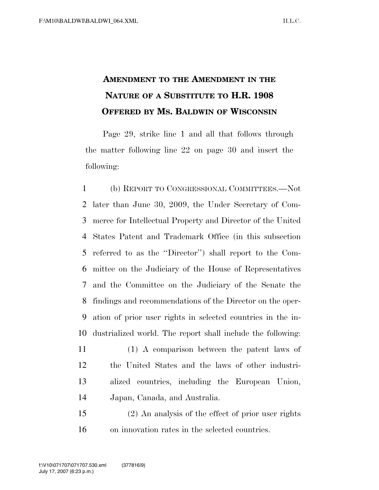## **AMENDMENT TO THE AMENDMENT IN THE NATURE OF A SUBSTITUTE TO H.R. 1908 OFFERED BY MS. BALDWIN OF WISCONSIN**

Page 29, strike line 1 and all that follows through the matter following line 22 on page 30 and insert the following:

 (b) REPORT TO CONGRESSIONAL COMMITTEES.—Not later than June 30, 2009, the Under Secretary of Com- merce for Intellectual Property and Director of the United States Patent and Trademark Office (in this subsection referred to as the ''Director'') shall report to the Com- mittee on the Judiciary of the House of Representatives and the Committee on the Judiciary of the Senate the findings and recommendations of the Director on the oper- ation of prior user rights in selected countries in the in-dustrialized world. The report shall include the following:

- (1) A comparison between the patent laws of the United States and the laws of other industri- alized countries, including the European Union, Japan, Canada, and Australia.
- (2) An analysis of the effect of prior user rights on innovation rates in the selected countries.